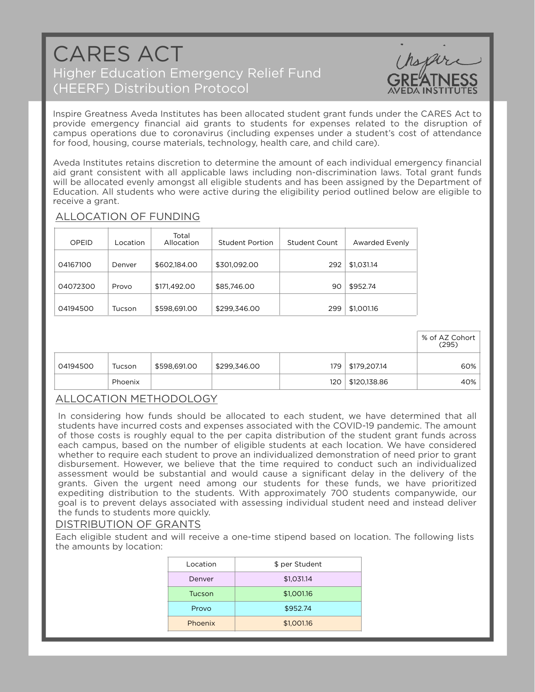# CARES ACT Higher Education Emergency Relief Fund (HEERF) Distribution Protocol



% of AZ Cohort

Inspire Greatness Aveda Institutes has been allocated student grant funds under the CARES Act to provide emergency financial aid grants to students for expenses related to the disruption of campus operations due to coronavirus (including expenses under a student's cost of attendance for food, housing, course materials, technology, health care, and child care).

Aveda Institutes retains discretion to determine the amount of each individual emergency financial aid grant consistent with all applicable laws including non-discrimination laws. Total grant funds will be allocated evenly amongst all eligible students and has been assigned by the Department of Education. All students who were active during the eligibility period outlined below are eligible to receive a grant.

# ALLOCATION OF FUNDING

| OPEID    | Location | Total<br>Allocation | Student Portion | <b>Student Count</b> | Awarded Evenly |
|----------|----------|---------------------|-----------------|----------------------|----------------|
| 04167100 | Denver   | \$602,184.00        | \$301,092.00    | 292                  | \$1,031.14     |
| 04072300 | Provo    | \$171,492.00        | \$85,746.00     | 90                   | \$952.74       |
| 04194500 | Tucson   | \$598,691.00        | \$299,346.00    | 299                  | \$1,001.16     |

|          |         |              |              |     |                    | (295) |
|----------|---------|--------------|--------------|-----|--------------------|-------|
| 04194500 | Tucson  | \$598,691.00 | \$299,346.00 |     | 179   \$179,207.14 | 60%   |
|          | Phoenix |              |              | 120 | \$120,138.86       | 40%   |

# ALLOCATION METHODOLOGY

In considering how funds should be allocated to each student, we have determined that all students have incurred costs and expenses associated with the COVID-19 pandemic. The amount of those costs is roughly equal to the per capita distribution of the student grant funds across each campus, based on the number of eligible students at each location. We have considered whether to require each student to prove an individualized demonstration of need prior to grant disbursement. However, we believe that the time required to conduct such an individualized assessment would be substantial and would cause a significant delay in the delivery of the grants. Given the urgent need among our students for these funds, we have prioritized expediting distribution to the students. With approximately 700 students companywide, our goal is to prevent delays associated with assessing individual student need and instead deliver the funds to students more quickly.

### DISTRIBUTION OF GRANTS

Each eligible student and will receive a one-time stipend based on location. The following lists the amounts by location:

| Location | \$ per Student |
|----------|----------------|
| Denver   | \$1,031.14     |
| Tucson   | \$1,001.16     |
| Provo    | \$952.74       |
| Phoenix  | \$1,001.16     |
|          |                |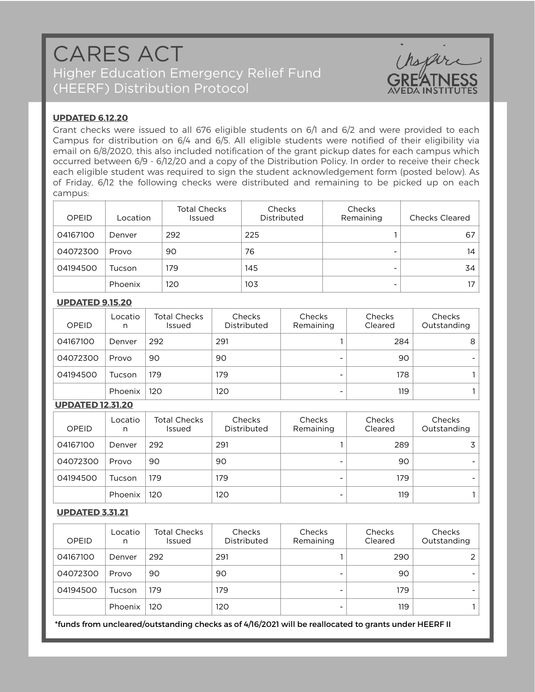# CARES ACT Higher Education Emergency Relief Fund (HEERF) Distribution Protocol



## **UPDATED 6.12.20**

Grant checks were issued to all 676 eligible students on 6/1 and 6/2 and were provided to each Campus for distribution on 6/4 and 6/5. All eligible students were notified of their eligibility via email on 6/8/2020, this also included notification of the grant pickup dates for each campus which occurred between 6/9 - 6/12/20 and a copy of the Distribution Policy. In order to receive their check each eligible student was required to sign the student acknowledgement form (posted below). As of Friday, 6/12 the following checks were distributed and remaining to be picked up on each campus:

| OPEID    | Location | <b>Total Checks</b><br>Issued | Checks<br>Distributed | Checks<br>Remaining      | <b>Checks Cleared</b> |
|----------|----------|-------------------------------|-----------------------|--------------------------|-----------------------|
| 04167100 | Denver   | 292                           | 225                   |                          | 67                    |
| 04072300 | Provo    | 90                            | 76                    | $\overline{\phantom{a}}$ | 14                    |
| 04194500 | Tucson   | 179                           | 145                   | $\blacksquare$           | 34                    |
|          | Phoenix  | 120                           | 103                   |                          | 17                    |

#### **UPDATED 9.15.20**

| OPEID    | Locatio<br>n | <b>Total Checks</b><br><b>Issued</b> | Checks<br>Distributed | Checks<br>Remaining | Checks<br>Cleared | Checks<br>Outstanding |
|----------|--------------|--------------------------------------|-----------------------|---------------------|-------------------|-----------------------|
| 04167100 | Denver       | 292                                  | 291                   |                     | 284               | 8                     |
| 04072300 | Provo        | 90                                   | 90                    |                     | 90                |                       |
| 04194500 | Tucson       | 179                                  | 179                   |                     | 178               |                       |
|          | Phoenix      | 120                                  | 120                   |                     | 119               |                       |

### **UPDATED 12.31.20**

| OPEID    | Locatio<br>n | <b>Total Checks</b><br><b>Issued</b> | Checks<br>Distributed | Checks<br>Remaining      | Checks<br>Cleared | Checks<br>Outstanding |
|----------|--------------|--------------------------------------|-----------------------|--------------------------|-------------------|-----------------------|
| 04167100 | Denver       | 292                                  | 291                   |                          | 289               |                       |
| 04072300 | Provo        | 90                                   | 90                    | $\overline{\phantom{0}}$ | 90                |                       |
| 04194500 | Tucson       | 179                                  | 179                   | -                        | 179               |                       |
|          | Phoenix      | 120                                  | 120                   | -                        | 119               |                       |

### **UPDATED 3.31.21**

| OPEID    | Locatio<br>n | <b>Total Checks</b><br><b>Issued</b> | Checks<br>Distributed | <b>Checks</b><br>Remaining | Checks<br>Cleared | Checks<br>Outstanding |
|----------|--------------|--------------------------------------|-----------------------|----------------------------|-------------------|-----------------------|
| 04167100 | Denver       | 292                                  | 291                   |                            | 290               |                       |
| 04072300 | Provo        | 90                                   | 90                    | $\overline{\phantom{0}}$   | 90                |                       |
| 04194500 | Tucson       | 179                                  | 179                   | -                          | 179               |                       |
|          | Phoenix      | 120                                  | 120                   |                            | 119               |                       |

\*funds from uncleared/outstanding checks as of 4/16/2021 will be reallocated to grants under HEERF II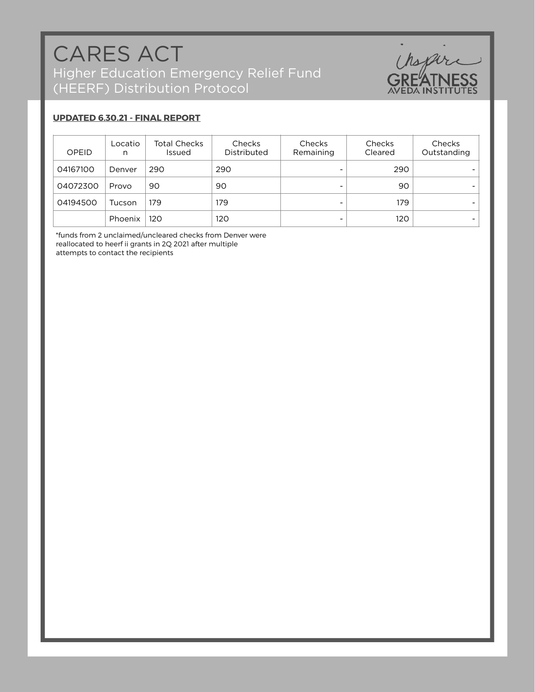

#### **UPDATED 6.30.21 - FINAL REPORT**

| OPEID    | Locatio<br>n | <b>Total Checks</b><br><b>Issued</b> | Checks<br>Distributed | Checks<br>Remaining      | Checks<br>Cleared | Checks<br>Outstanding |
|----------|--------------|--------------------------------------|-----------------------|--------------------------|-------------------|-----------------------|
| 04167100 | Denver       | 290                                  | 290                   | -                        | 290               |                       |
| 04072300 | Provo        | 90                                   | 90                    | -                        | 90                |                       |
| 04194500 | Tucson       | 179                                  | 179                   | $\overline{\phantom{0}}$ | 179               |                       |
|          | Phoenix      | 120                                  | 120                   | $\overline{\phantom{0}}$ | 120               |                       |

\*funds from 2 unclaimed/uncleared checks from Denver were reallocated to heerf ii grants in 2Q 2021 after multiple attempts to contact the recipients